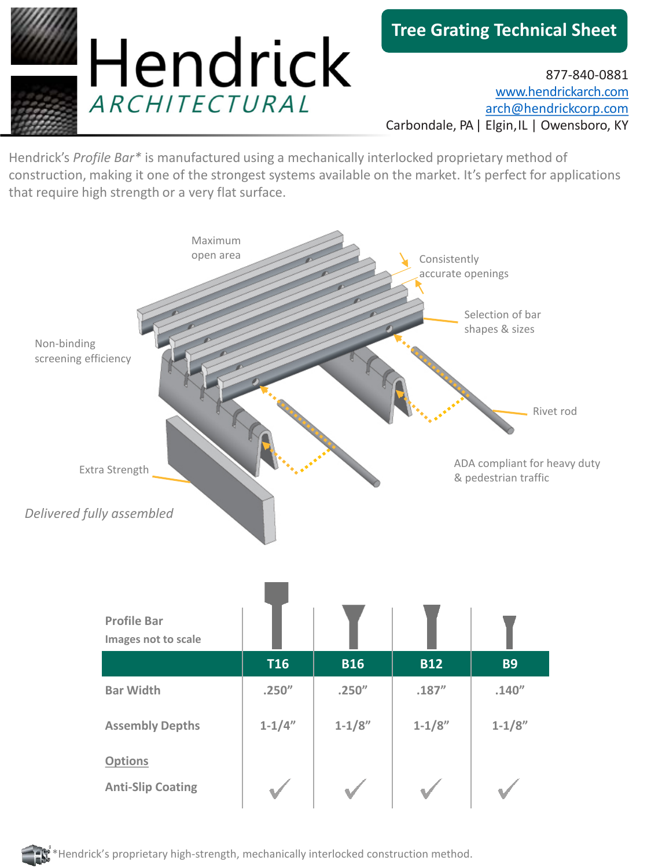

877-840-0881 [www.hendrickarch.com](http://www.hendrickarch.com/) [arch@hendrickcorp.com](mailto:arch@hendrickcorp.com) Carbondale, PA | Elgin, IL | Owensboro, KY

Hendrick's *Profile Bar\** is manufactured using a mechanically interlocked proprietary method of construction, making it one of the strongest systems available on the market. It's perfect for applications that require high strength or a very flat surface.



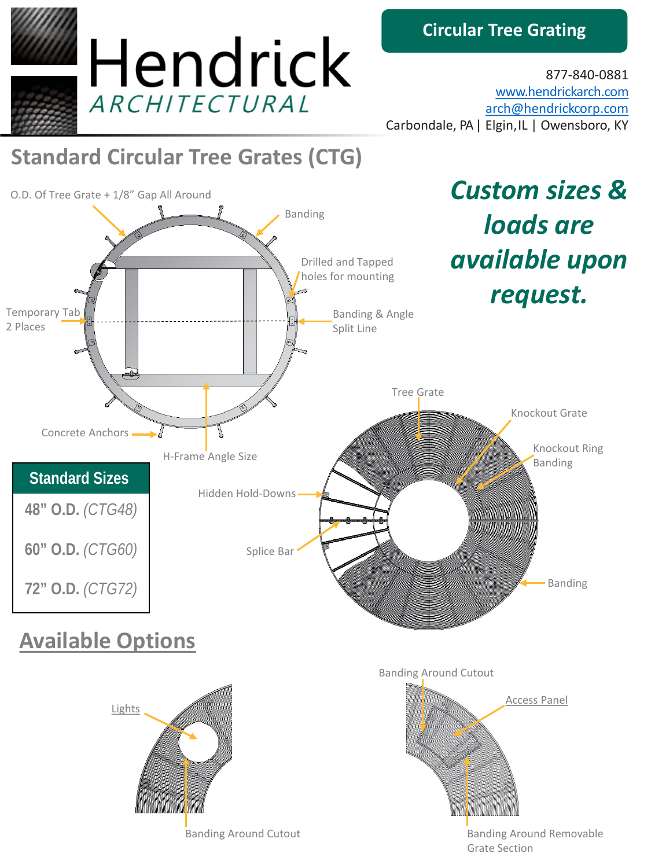

## **Circular Tree Grating**

877-840-0881 [www.hendrickarch.com](http://www.hendrickarch.com/) [arch@hendrickcorp.com](mailto:arch@hendrickcorp.com) Carbondale, PA | Elgin, IL | Owensboro, KY

## **Standard Circular Tree Grates (CTG)**



Banding Around Cutout

Banding Around Removable Grate Section